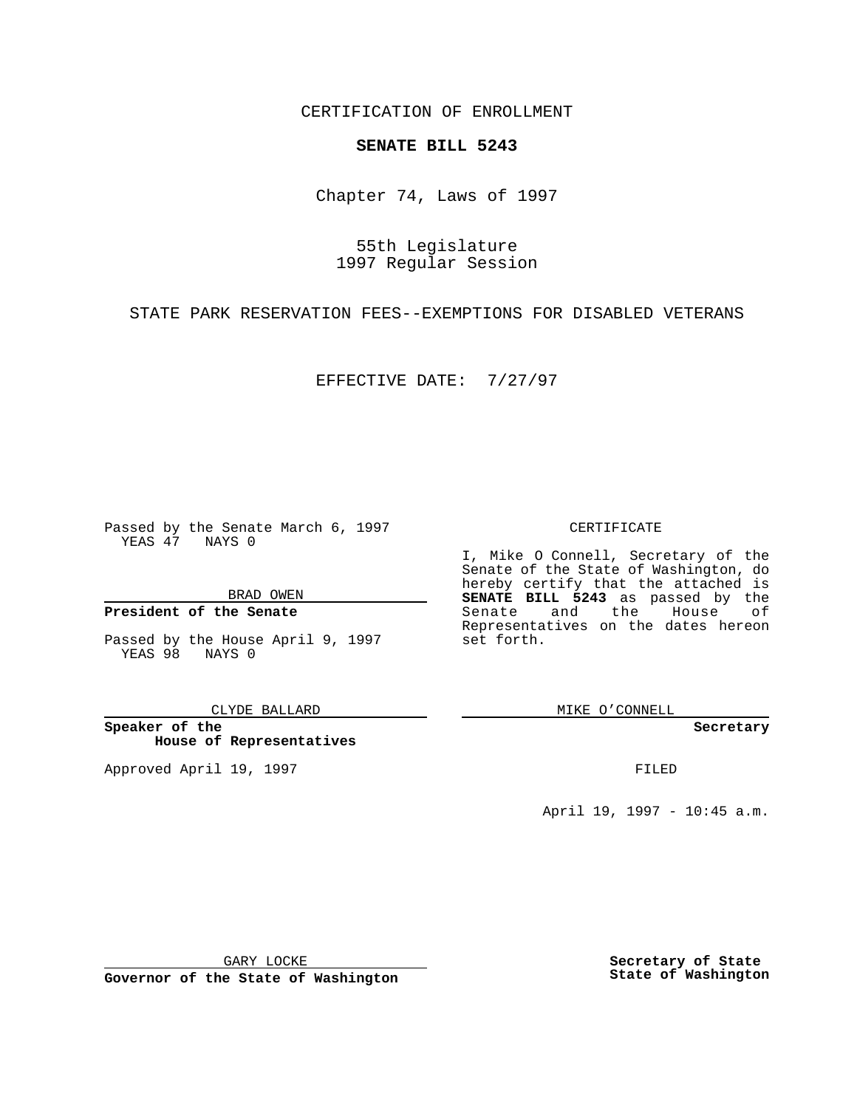CERTIFICATION OF ENROLLMENT

## **SENATE BILL 5243**

Chapter 74, Laws of 1997

55th Legislature 1997 Regular Session

STATE PARK RESERVATION FEES--EXEMPTIONS FOR DISABLED VETERANS

EFFECTIVE DATE: 7/27/97

Passed by the Senate March 6, 1997 YEAS 47 NAYS 0

BRAD OWEN

## **President of the Senate**

Passed by the House April 9, 1997 YEAS 98 NAYS 0

CLYDE BALLARD

**Speaker of the House of Representatives**

Approved April 19, 1997 **FILED** 

#### CERTIFICATE

I, Mike O Connell, Secretary of the Senate of the State of Washington, do hereby certify that the attached is **SENATE BILL 5243** as passed by the Senate and the House of Representatives on the dates hereon set forth.

MIKE O'CONNELL

**Secretary**

April 19, 1997 - 10:45 a.m.

GARY LOCKE

**Governor of the State of Washington**

**Secretary of State State of Washington**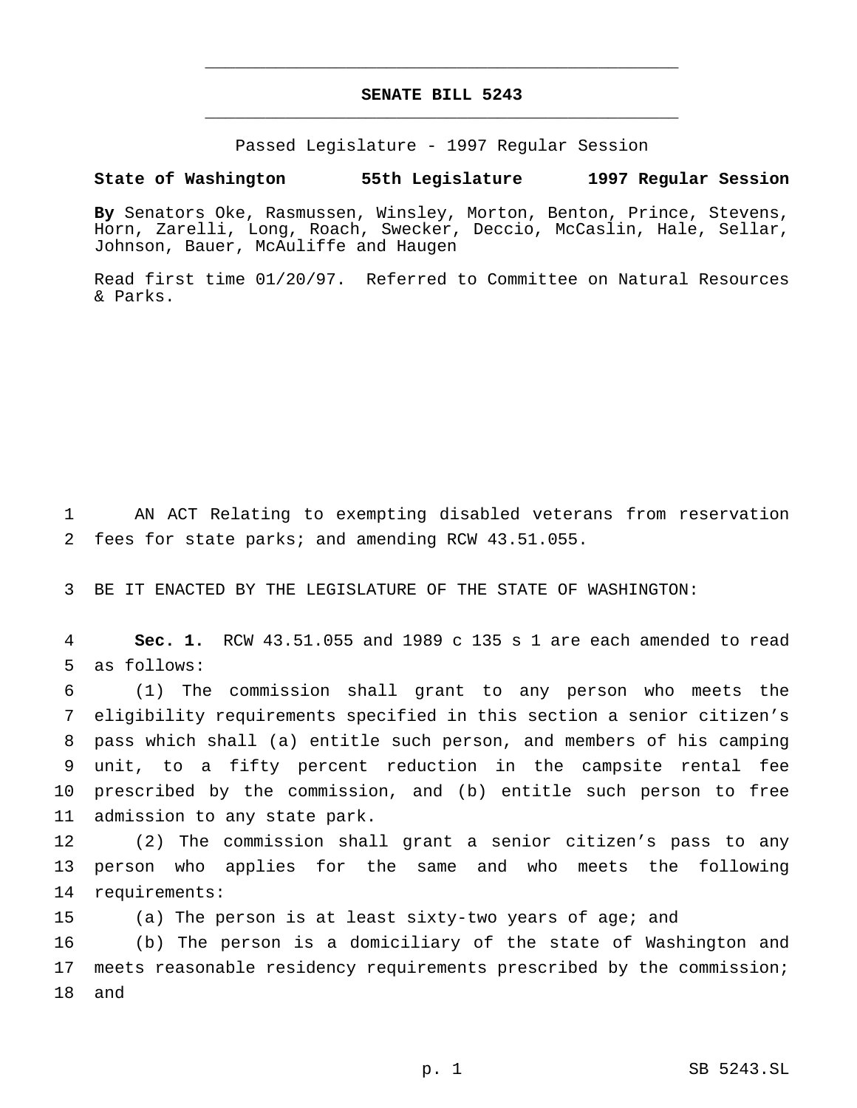# **SENATE BILL 5243** \_\_\_\_\_\_\_\_\_\_\_\_\_\_\_\_\_\_\_\_\_\_\_\_\_\_\_\_\_\_\_\_\_\_\_\_\_\_\_\_\_\_\_\_\_\_\_

\_\_\_\_\_\_\_\_\_\_\_\_\_\_\_\_\_\_\_\_\_\_\_\_\_\_\_\_\_\_\_\_\_\_\_\_\_\_\_\_\_\_\_\_\_\_\_

Passed Legislature - 1997 Regular Session

## **State of Washington 55th Legislature 1997 Regular Session**

**By** Senators Oke, Rasmussen, Winsley, Morton, Benton, Prince, Stevens, Horn, Zarelli, Long, Roach, Swecker, Deccio, McCaslin, Hale, Sellar, Johnson, Bauer, McAuliffe and Haugen

Read first time 01/20/97. Referred to Committee on Natural Resources & Parks.

1 AN ACT Relating to exempting disabled veterans from reservation 2 fees for state parks; and amending RCW 43.51.055.

3 BE IT ENACTED BY THE LEGISLATURE OF THE STATE OF WASHINGTON:

4 **Sec. 1.** RCW 43.51.055 and 1989 c 135 s 1 are each amended to read 5 as follows:

 (1) The commission shall grant to any person who meets the eligibility requirements specified in this section a senior citizen's pass which shall (a) entitle such person, and members of his camping unit, to a fifty percent reduction in the campsite rental fee prescribed by the commission, and (b) entitle such person to free admission to any state park.

12 (2) The commission shall grant a senior citizen's pass to any 13 person who applies for the same and who meets the following 14 requirements:

15 (a) The person is at least sixty-two years of age; and

16 (b) The person is a domiciliary of the state of Washington and 17 meets reasonable residency requirements prescribed by the commission; 18 and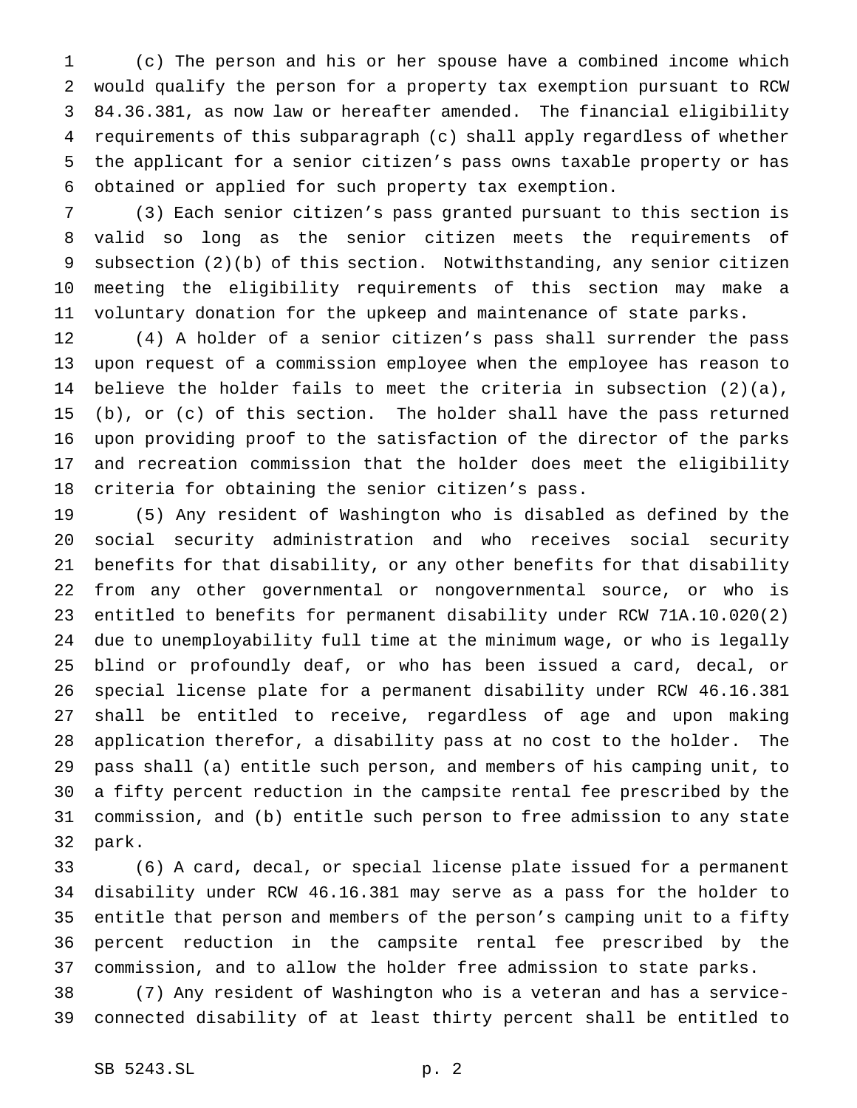(c) The person and his or her spouse have a combined income which would qualify the person for a property tax exemption pursuant to RCW 84.36.381, as now law or hereafter amended. The financial eligibility requirements of this subparagraph (c) shall apply regardless of whether the applicant for a senior citizen's pass owns taxable property or has obtained or applied for such property tax exemption.

 (3) Each senior citizen's pass granted pursuant to this section is valid so long as the senior citizen meets the requirements of subsection (2)(b) of this section. Notwithstanding, any senior citizen meeting the eligibility requirements of this section may make a voluntary donation for the upkeep and maintenance of state parks.

 (4) A holder of a senior citizen's pass shall surrender the pass upon request of a commission employee when the employee has reason to believe the holder fails to meet the criteria in subsection (2)(a), (b), or (c) of this section. The holder shall have the pass returned upon providing proof to the satisfaction of the director of the parks and recreation commission that the holder does meet the eligibility criteria for obtaining the senior citizen's pass.

 (5) Any resident of Washington who is disabled as defined by the social security administration and who receives social security benefits for that disability, or any other benefits for that disability from any other governmental or nongovernmental source, or who is entitled to benefits for permanent disability under RCW 71A.10.020(2) due to unemployability full time at the minimum wage, or who is legally blind or profoundly deaf, or who has been issued a card, decal, or special license plate for a permanent disability under RCW 46.16.381 shall be entitled to receive, regardless of age and upon making application therefor, a disability pass at no cost to the holder. The pass shall (a) entitle such person, and members of his camping unit, to a fifty percent reduction in the campsite rental fee prescribed by the commission, and (b) entitle such person to free admission to any state park.

 (6) A card, decal, or special license plate issued for a permanent disability under RCW 46.16.381 may serve as a pass for the holder to entitle that person and members of the person's camping unit to a fifty percent reduction in the campsite rental fee prescribed by the commission, and to allow the holder free admission to state parks.

 (7) Any resident of Washington who is a veteran and has a service-connected disability of at least thirty percent shall be entitled to